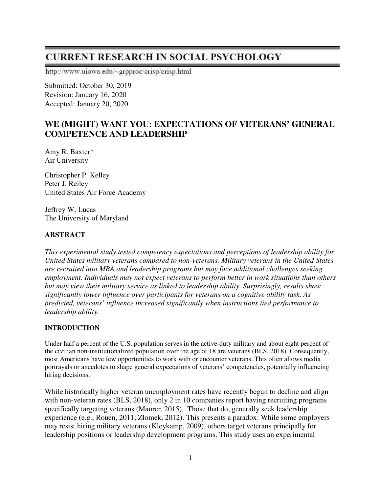# **CURRENT RESEARCH IN SOCIAL PSYCHOLOGY**

http://www.uiowa.edu/~grpproc/crisp/crisp.html

Submitted: October 30, 2019 Revision: January 16, 2020 Accepted: January 20, 2020

## **WE (MIGHT) WANT YOU: EXPECTATIONS OF VETERANS' GENERAL COMPETENCE AND LEADERSHIP**

Amy R. Baxter\* Air University

Christopher P. Kelley Peter J. Reiley United States Air Force Academy

Jeffrey W. Lucas The University of Maryland

#### **ABSTRACT**

*This experimental study tested competency expectations and perceptions of leadership ability for United States military veterans compared to non-veterans. Military veterans in the United States are recruited into MBA and leadership programs but may face additional challenges seeking employment. Individuals may not expect veterans to perform better in work situations than others but may view their military service as linked to leadership ability. Surprisingly, results show significantly lower influence over participants for veterans on a cognitive ability task. As predicted, veterans' influence increased significantly when instructions tied performance to leadership ability.* 

#### **INTRODUCTION**

Under half a percent of the U.S. population serves in the active-duty military and about eight percent of the civilian non-institutionalized population over the age of 18 are veterans (BLS, 2018). Consequently, most Americans have few opportunities to work with or encounter veterans. This often allows media portrayals or anecdotes to shape general expectations of veterans' competencies, potentially influencing hiring decisions.

While historically higher veteran unemployment rates have recently begun to decline and align with non-veteran rates (BLS, 2018), only 2 in 10 companies report having recruiting programs specifically targeting veterans (Maurer, 2015). Those that do, generally seek leadership experience (e.g., Rouen, 2011; Zlomek, 2012). This presents a paradox: While some employers may resist hiring military veterans (Kleykamp, 2009), others target veterans principally for leadership positions or leadership development programs. This study uses an experimental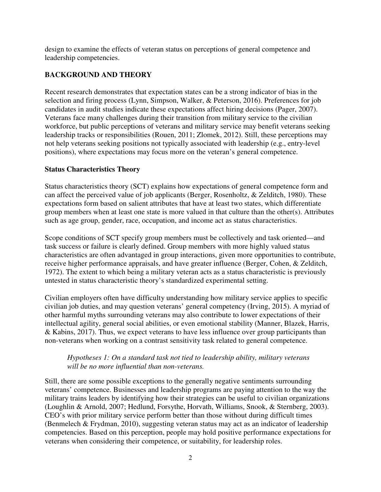design to examine the effects of veteran status on perceptions of general competence and leadership competencies.

### **BACKGROUND AND THEORY**

Recent research demonstrates that expectation states can be a strong indicator of bias in the selection and firing process (Lynn, Simpson, Walker, & Peterson, 2016). Preferences for job candidates in audit studies indicate these expectations affect hiring decisions (Pager, 2007). Veterans face many challenges during their transition from military service to the civilian workforce, but public perceptions of veterans and military service may benefit veterans seeking leadership tracks or responsibilities (Rouen, 2011; Zlomek, 2012). Still, these perceptions may not help veterans seeking positions not typically associated with leadership (e.g., entry-level positions), where expectations may focus more on the veteran's general competence.

#### **Status Characteristics Theory**

Status characteristics theory (SCT) explains how expectations of general competence form and can affect the perceived value of job applicants (Berger, Rosenholtz, & Zelditch, 1980). These expectations form based on salient attributes that have at least two states, which differentiate group members when at least one state is more valued in that culture than the other(s). Attributes such as age group, gender, race, occupation, and income act as status characteristics.

Scope conditions of SCT specify group members must be collectively and task oriented—and task success or failure is clearly defined. Group members with more highly valued status characteristics are often advantaged in group interactions, given more opportunities to contribute, receive higher performance appraisals, and have greater influence (Berger, Cohen, & Zelditch, 1972). The extent to which being a military veteran acts as a status characteristic is previously untested in status characteristic theory's standardized experimental setting.

Civilian employers often have difficulty understanding how military service applies to specific civilian job duties, and may question veterans' general competency (Irving, 2015). A myriad of other harmful myths surrounding veterans may also contribute to lower expectations of their intellectual agility, general social abilities, or even emotional stability (Manner, Blazek, Harris, & Kabins, 2017). Thus, we expect veterans to have less influence over group participants than non-veterans when working on a contrast sensitivity task related to general competence.

#### *Hypotheses 1: On a standard task not tied to leadership ability, military veterans will be no more influential than non-veterans.*

Still, there are some possible exceptions to the generally negative sentiments surrounding veterans' competence. Businesses and leadership programs are paying attention to the way the military trains leaders by identifying how their strategies can be useful to civilian organizations (Loughlin & Arnold, 2007; Hedlund, Forsythe, Horvath, Williams, Snook, & Sternberg, 2003). CEO's with prior military service perform better than those without during difficult times (Benmelech & Frydman, 2010), suggesting veteran status may act as an indicator of leadership competencies. Based on this perception, people may hold positive performance expectations for veterans when considering their competence, or suitability, for leadership roles.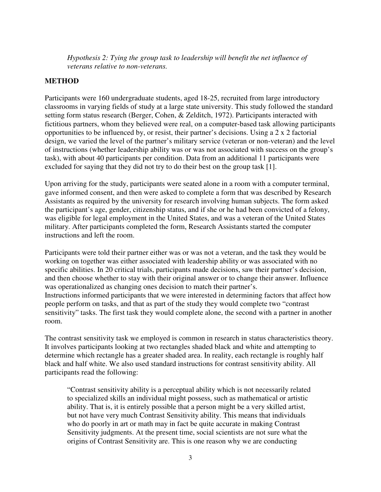*Hypothesis 2: Tying the group task to leadership will benefit the net influence of veterans relative to non-veterans.* 

#### **METHOD**

Participants were 160 undergraduate students, aged 18-25, recruited from large introductory classrooms in varying fields of study at a large state university. This study followed the standard setting form status research (Berger, Cohen, & Zelditch, 1972). Participants interacted with fictitious partners, whom they believed were real, on a computer-based task allowing participants opportunities to be influenced by, or resist, their partner's decisions. Using a 2 x 2 factorial design, we varied the level of the partner's military service (veteran or non-veteran) and the level of instructions (whether leadership ability was or was not associated with success on the group's task), with about 40 participants per condition. Data from an additional 11 participants were excluded for saying that they did not try to do their best on the group task [1].

Upon arriving for the study, participants were seated alone in a room with a computer terminal, gave informed consent, and then were asked to complete a form that was described by Research Assistants as required by the university for research involving human subjects. The form asked the participant's age, gender, citizenship status, and if she or he had been convicted of a felony, was eligible for legal employment in the United States, and was a veteran of the United States military. After participants completed the form, Research Assistants started the computer instructions and left the room.

Participants were told their partner either was or was not a veteran, and the task they would be working on together was either associated with leadership ability or was associated with no specific abilities. In 20 critical trials, participants made decisions, saw their partner's decision, and then choose whether to stay with their original answer or to change their answer. Influence was operationalized as changing ones decision to match their partner's. Instructions informed participants that we were interested in determining factors that affect how people perform on tasks, and that as part of the study they would complete two "contrast sensitivity" tasks. The first task they would complete alone, the second with a partner in another room.

The contrast sensitivity task we employed is common in research in status characteristics theory. It involves participants looking at two rectangles shaded black and white and attempting to determine which rectangle has a greater shaded area. In reality, each rectangle is roughly half black and half white. We also used standard instructions for contrast sensitivity ability. All participants read the following:

"Contrast sensitivity ability is a perceptual ability which is not necessarily related to specialized skills an individual might possess, such as mathematical or artistic ability. That is, it is entirely possible that a person might be a very skilled artist, but not have very much Contrast Sensitivity ability. This means that individuals who do poorly in art or math may in fact be quite accurate in making Contrast Sensitivity judgments. At the present time, social scientists are not sure what the origins of Contrast Sensitivity are. This is one reason why we are conducting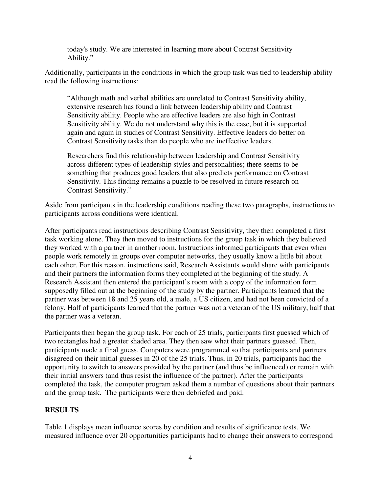today's study. We are interested in learning more about Contrast Sensitivity Ability."

Additionally, participants in the conditions in which the group task was tied to leadership ability read the following instructions:

"Although math and verbal abilities are unrelated to Contrast Sensitivity ability, extensive research has found a link between leadership ability and Contrast Sensitivity ability. People who are effective leaders are also high in Contrast Sensitivity ability. We do not understand why this is the case, but it is supported again and again in studies of Contrast Sensitivity. Effective leaders do better on Contrast Sensitivity tasks than do people who are ineffective leaders.

Researchers find this relationship between leadership and Contrast Sensitivity across different types of leadership styles and personalities; there seems to be something that produces good leaders that also predicts performance on Contrast Sensitivity. This finding remains a puzzle to be resolved in future research on Contrast Sensitivity."

Aside from participants in the leadership conditions reading these two paragraphs, instructions to participants across conditions were identical.

After participants read instructions describing Contrast Sensitivity, they then completed a first task working alone. They then moved to instructions for the group task in which they believed they worked with a partner in another room. Instructions informed participants that even when people work remotely in groups over computer networks, they usually know a little bit about each other. For this reason, instructions said, Research Assistants would share with participants and their partners the information forms they completed at the beginning of the study. A Research Assistant then entered the participant's room with a copy of the information form supposedly filled out at the beginning of the study by the partner. Participants learned that the partner was between 18 and 25 years old, a male, a US citizen, and had not been convicted of a felony. Half of participants learned that the partner was not a veteran of the US military, half that the partner was a veteran.

Participants then began the group task. For each of 25 trials, participants first guessed which of two rectangles had a greater shaded area. They then saw what their partners guessed. Then, participants made a final guess. Computers were programmed so that participants and partners disagreed on their initial guesses in 20 of the 25 trials. Thus, in 20 trials, participants had the opportunity to switch to answers provided by the partner (and thus be influenced) or remain with their initial answers (and thus resist the influence of the partner). After the participants completed the task, the computer program asked them a number of questions about their partners and the group task. The participants were then debriefed and paid.

#### **RESULTS**

Table 1 displays mean influence scores by condition and results of significance tests. We measured influence over 20 opportunities participants had to change their answers to correspond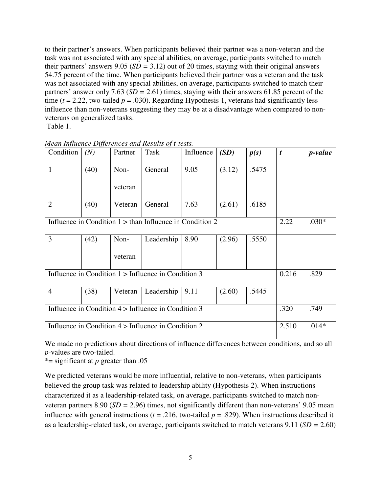to their partner's answers. When participants believed their partner was a non-veteran and the task was not associated with any special abilities, on average, participants switched to match their partners' answers 9.05 (*SD =* 3.12) out of 20 times, staying with their original answers 54.75 percent of the time. When participants believed their partner was a veteran and the task was not associated with any special abilities, on average, participants switched to match their partners' answer only 7.63 (*SD =* 2.61) times, staying with their answers 61.85 percent of the time ( $t = 2.22$ , two-tailed  $p = .030$ ). Regarding Hypothesis 1, veterans had significantly less influence than non-veterans suggesting they may be at a disadvantage when compared to nonveterans on generalized tasks.

Table 1.

| Condition                                                  | (N)  | Partner | Task       | Influence | (SD)   | p(s)  | t     | <i>p-value</i> |
|------------------------------------------------------------|------|---------|------------|-----------|--------|-------|-------|----------------|
| $\mathbf{1}$                                               | (40) | Non-    | General    | 9.05      | (3.12) | .5475 |       |                |
|                                                            |      | veteran |            |           |        |       |       |                |
| $\overline{2}$                                             | (40) | Veteran | General    | 7.63      | (2.61) | .6185 |       |                |
| Influence in Condition $1 >$ than Influence in Condition 2 |      |         |            |           |        |       | 2.22  | $.030*$        |
| $\overline{3}$                                             | (42) | Non-    | Leadership | 8.90      | (2.96) | .5550 |       |                |
|                                                            |      | veteran |            |           |        |       |       |                |
| Influence in Condition $1 >$ Influence in Condition 3      |      |         |            |           |        | 0.216 | .829  |                |
| $\overline{4}$                                             | (38) | Veteran | Leadership | 9.11      | (2.60) | .5445 |       |                |
| Influence in Condition $4 >$ Influence in Condition 3      |      |         |            |           |        |       |       | .749           |
| Influence in Condition $4 >$ Influence in Condition 2      |      |         |            |           |        |       | 2.510 | $.014*$        |

*Mean Influence Differences and Results of t-tests.*

We made no predictions about directions of influence differences between conditions, and so all *p*-values are two-tailed.

\*= significant at *p* greater than .05

We predicted veterans would be more influential, relative to non-veterans, when participants believed the group task was related to leadership ability (Hypothesis 2). When instructions characterized it as a leadership-related task, on average, participants switched to match nonveteran partners 8.90 (*SD =* 2.96) times, not significantly different than non-veterans' 9.05 mean influence with general instructions ( $t = .216$ , two-tailed  $p = .829$ ). When instructions described it as a leadership-related task, on average, participants switched to match veterans 9.11 (*SD =* 2.60)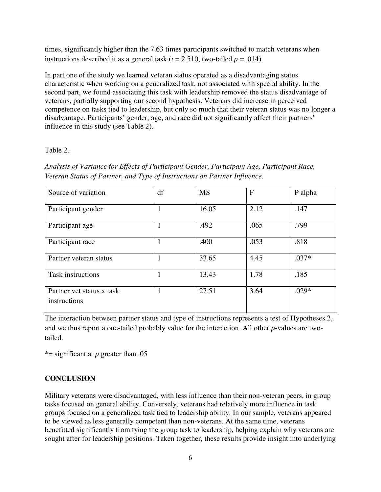times, significantly higher than the 7.63 times participants switched to match veterans when instructions described it as a general task  $(t = 2.510$ , two-tailed  $p = .014$ ).

In part one of the study we learned veteran status operated as a disadvantaging status characteristic when working on a generalized task, not associated with special ability. In the second part, we found associating this task with leadership removed the status disadvantage of veterans, partially supporting our second hypothesis. Veterans did increase in perceived competence on tasks tied to leadership, but only so much that their veteran status was no longer a disadvantage. Participants' gender, age, and race did not significantly affect their partners' influence in this study (see Table 2).

#### Table 2.

*Analysis of Variance for Effects of Participant Gender, Participant Age, Participant Race, Veteran Status of Partner, and Type of Instructions on Partner Influence.* 

| Source of variation                       | df | <b>MS</b> | F    | P alpha |
|-------------------------------------------|----|-----------|------|---------|
| Participant gender                        |    | 16.05     | 2.12 | .147    |
| Participant age                           |    | .492      | .065 | .799    |
| Participant race                          |    | .400      | .053 | .818    |
| Partner veteran status                    |    | 33.65     | 4.45 | $.037*$ |
| <b>Task instructions</b>                  |    | 13.43     | 1.78 | .185    |
| Partner vet status x task<br>instructions |    | 27.51     | 3.64 | $.029*$ |

The interaction between partner status and type of instructions represents a test of Hypotheses 2, and we thus report a one-tailed probably value for the interaction. All other *p*-values are twotailed.

\*= significant at *p* greater than .05

## **CONCLUSION**

Military veterans were disadvantaged, with less influence than their non-veteran peers, in group tasks focused on general ability. Conversely, veterans had relatively more influence in task groups focused on a generalized task tied to leadership ability. In our sample, veterans appeared to be viewed as less generally competent than non-veterans. At the same time, veterans benefitted significantly from tying the group task to leadership, helping explain why veterans are sought after for leadership positions. Taken together, these results provide insight into underlying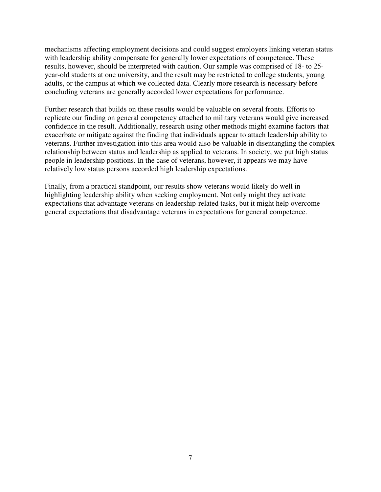mechanisms affecting employment decisions and could suggest employers linking veteran status with leadership ability compensate for generally lower expectations of competence. These results, however, should be interpreted with caution. Our sample was comprised of 18- to 25 year-old students at one university, and the result may be restricted to college students, young adults, or the campus at which we collected data. Clearly more research is necessary before concluding veterans are generally accorded lower expectations for performance.

Further research that builds on these results would be valuable on several fronts. Efforts to replicate our finding on general competency attached to military veterans would give increased confidence in the result. Additionally, research using other methods might examine factors that exacerbate or mitigate against the finding that individuals appear to attach leadership ability to veterans. Further investigation into this area would also be valuable in disentangling the complex relationship between status and leadership as applied to veterans. In society, we put high status people in leadership positions. In the case of veterans, however, it appears we may have relatively low status persons accorded high leadership expectations.

Finally, from a practical standpoint, our results show veterans would likely do well in highlighting leadership ability when seeking employment. Not only might they activate expectations that advantage veterans on leadership-related tasks, but it might help overcome general expectations that disadvantage veterans in expectations for general competence.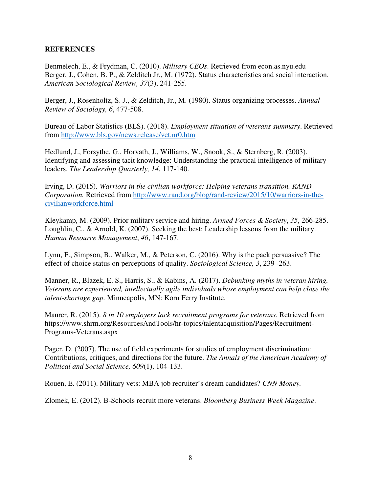#### **REFERENCES**

Benmelech, E., & Frydman, C. (2010). *Military CEOs*. Retrieved from econ.as.nyu.edu Berger, J., Cohen, B. P., & Zelditch Jr., M. (1972). Status characteristics and social interaction. *American Sociological Review, 37*(3), 241-255.

Berger, J., Rosenholtz, S. J., & Zelditch, Jr., M. (1980). Status organizing processes. *Annual Review of Sociology, 6*, 477-508.

Bureau of Labor Statistics (BLS). (2018). *Employment situation of veterans summary*. Retrieved from http://www.bls.gov/news.release/vet.nr0.htm

Hedlund, J., Forsythe, G., Horvath, J., Williams, W., Snook, S., & Sternberg, R. (2003). Identifying and assessing tacit knowledge: Understanding the practical intelligence of military leaders. *The Leadership Quarterly, 14*, 117-140.

Irving, D. (2015). *Warriors in the civilian workforce: Helping veterans transition. RAND Corporation.* Retrieved from http://www.rand.org/blog/rand-review/2015/10/warriors-in-thecivilianworkforce.html

Kleykamp, M. (2009). Prior military service and hiring. *Armed Forces & Society*, *35*, 266-285. Loughlin, C., & Arnold, K. (2007). Seeking the best: Leadership lessons from the military. *Human Resource Management*, *46*, 147-167.

Lynn, F., Simpson, B., Walker, M., & Peterson, C. (2016). Why is the pack persuasive? The effect of choice status on perceptions of quality. *Sociological Science, 3*, 239 -263.

Manner, R., Blazek, E. S., Harris, S., & Kabins, A. (2017). *Debunking myths in veteran hiring. Veterans are experienced, intellectually agile individuals whose employment can help close the talent-shortage gap.* Minneapolis, MN: Korn Ferry Institute.

Maurer, R. (2015). *8 in 10 employers lack recruitment programs for veterans.* Retrieved from https://www.shrm.org/ResourcesAndTools/hr-topics/talentacquisition/Pages/Recruitment-Programs-Veterans.aspx

Pager, D. (2007). The use of field experiments for studies of employment discrimination: Contributions, critiques, and directions for the future. *The Annals of the American Academy of Political and Social Science, 609*(1), 104-133.

Rouen, E. (2011). Military vets: MBA job recruiter's dream candidates? *CNN Money.*

Zlomek, E. (2012). B-Schools recruit more veterans. *Bloomberg Business Week Magazine*.